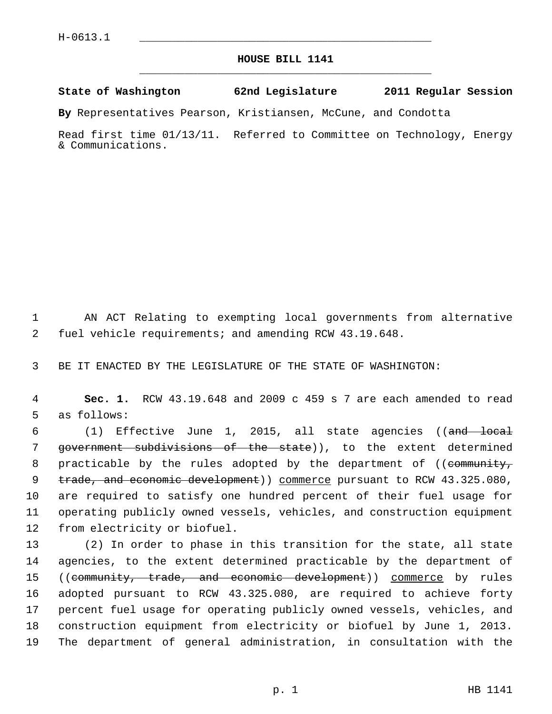## **HOUSE BILL 1141** \_\_\_\_\_\_\_\_\_\_\_\_\_\_\_\_\_\_\_\_\_\_\_\_\_\_\_\_\_\_\_\_\_\_\_\_\_\_\_\_\_\_\_\_\_

## **State of Washington 62nd Legislature 2011 Regular Session**

**By** Representatives Pearson, Kristiansen, McCune, and Condotta

Read first time 01/13/11. Referred to Committee on Technology, Energy & Communications.

 1 AN ACT Relating to exempting local governments from alternative 2 fuel vehicle requirements; and amending RCW 43.19.648.

3 BE IT ENACTED BY THE LEGISLATURE OF THE STATE OF WASHINGTON:

 4 **Sec. 1.** RCW 43.19.648 and 2009 c 459 s 7 are each amended to read 5 as follows:

6 (1) Effective June 1, 2015, all state agencies ((and local 7 government subdivisions of the state)), to the extent determined 8 practicable by the rules adopted by the department of ((community, 9 trade, and economic development) commerce pursuant to RCW 43.325.080, 10 are required to satisfy one hundred percent of their fuel usage for 11 operating publicly owned vessels, vehicles, and construction equipment 12 from electricity or biofuel.

13 (2) In order to phase in this transition for the state, all state 14 agencies, to the extent determined practicable by the department of 15 ((community, trade, and economic development)) commerce by rules 16 adopted pursuant to RCW 43.325.080, are required to achieve forty 17 percent fuel usage for operating publicly owned vessels, vehicles, and 18 construction equipment from electricity or biofuel by June 1, 2013. 19 The department of general administration, in consultation with the